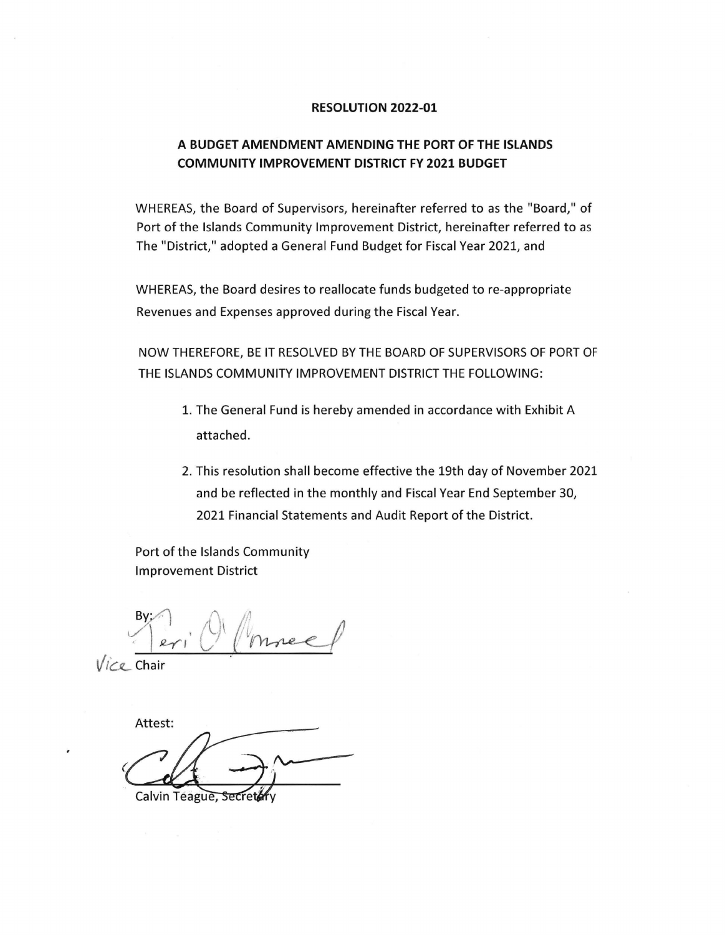## **RESOLUTION 2022-01**

## **A BUDGET AMENDMENT AMENDING THE PORT OF THE ISLANDS COMMUNITY IMPROVEMENT DISTRICT FY 2021 BUDGET**

WHEREAS, the Board of Supervisors, hereinafter referred to as the "Board," of Port of the Islands Community Improvement District, hereinafter referred to as The "District," adopted a General Fund Budget for Fiscal Year 2021, and

WHEREAS, the Board desires to reallocate funds budgeted to re-appropriate Revenues and Expenses approved during the Fiscal Year.

NOW THEREFORE, BE IT RESOLVED BY THE BOARD OF SUPERVISORS OF PORT OF THE ISLANDS COMMUNITY IMPROVEMENT DISTRICT THE FOLLOWING:

- 1. The General Fund is hereby amended in accordance with Exhibit A attached.
- 2. This resolution shall become effective the 19th day of November 2021 and be reflected in the monthly and Fiscal Year End September 30, 2021 Financial Statements and Audit Report of the District.

Port of the Islands Community Improvement District

Port of the Islands Community<br>Improvement District<br> $\frac{By:_{\text{peri}}}{\text{Chair}}$ 

 $i<sub>c</sub>$  Chair

Attest: -Calvin Teague,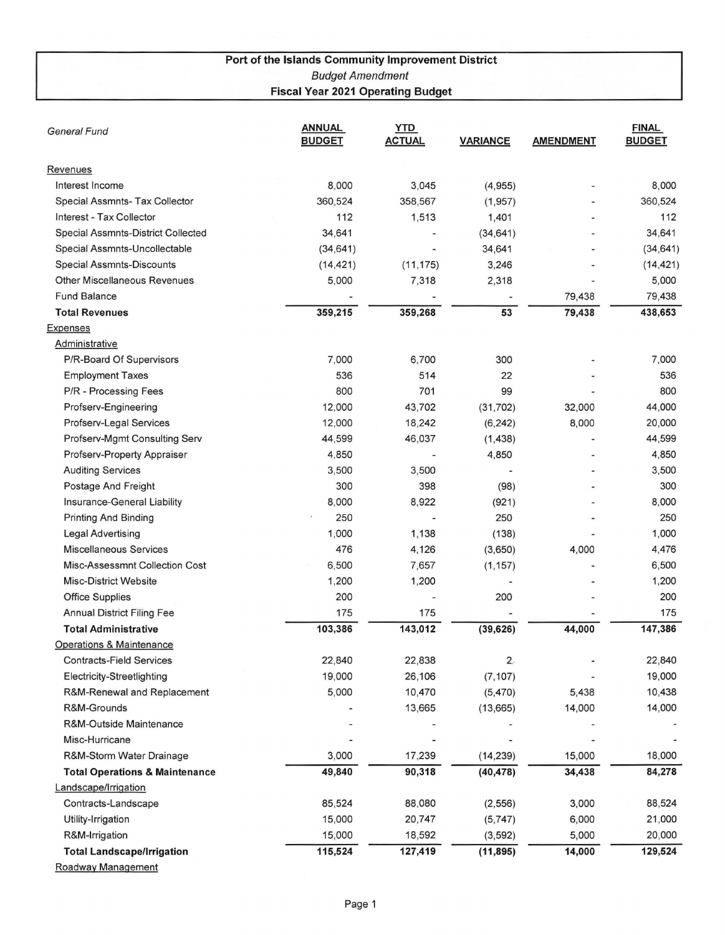## **Port of the Islands Community Improvement District**  Budget Amendment **Fiscal Year 2021 Operating Budget**

| <b>General Fund</b>                                     | <b>ANNUAL</b><br><b>BUDGET</b> | <b>YTD</b><br><b>ACTUAL</b> | <b>VARIANCE</b> | <b>AMENDMENT</b> | <b>FINAL</b><br><b>BUDGET</b> |
|---------------------------------------------------------|--------------------------------|-----------------------------|-----------------|------------------|-------------------------------|
| Revenues                                                |                                |                             |                 |                  |                               |
| Interest Income                                         | 8,000                          | 3,045                       | (4, 955)        |                  | 8,000                         |
| Special Assmnts- Tax Collector                          | 360,524                        | 358,567                     | (1, 957)        |                  | 360,524                       |
| Interest - Tax Collector                                | 112                            | 1,513                       | 1,401           |                  | 112                           |
| Special Assmnts-District Collected                      | 34,641                         |                             | (34, 641)       |                  | 34,641                        |
| Special Assmnts-Uncollectable                           | (34, 641)                      |                             | 34,641          |                  | (34, 641)                     |
| Special Assmnts-Discounts                               | (14, 421)                      | (11, 175)                   | 3,246           |                  | (14, 421)                     |
| <b>Other Miscellaneous Revenues</b>                     | 5,000                          | 7,318                       | 2,318           |                  | 5,000                         |
| <b>Fund Balance</b>                                     |                                |                             |                 | 79,438           | 79,438                        |
| <b>Total Revenues</b>                                   | 359,215                        | 359,268                     | 53              | 79,438           | 438,653                       |
| Expenses                                                |                                |                             |                 |                  |                               |
| <b>Administrative</b>                                   |                                |                             |                 |                  |                               |
| P/R-Board Of Supervisors                                | 7,000                          | 6,700                       | 300             |                  | 7,000                         |
| <b>Employment Taxes</b>                                 | 536                            | 514                         | 22              |                  | 536                           |
| P/R - Processing Fees                                   | 800                            | 701                         | 99              |                  | 800                           |
| Profserv-Engineering                                    | 12,000                         | 43,702                      | (31, 702)       | 32,000           | 44,000                        |
| Profserv-Legal Services                                 | 12,000                         | 18,242                      | (6, 242)        | 8,000            | 20,000                        |
| Profserv-Mgmt Consulting Serv                           | 44,599                         | 46,037                      | (1, 438)        |                  | 44,599                        |
| Profserv-Property Appraiser                             | 4,850                          |                             | 4,850           |                  | 4,850                         |
| <b>Auditing Services</b>                                | 3,500                          | 3,500                       |                 |                  | 3,500                         |
| Postage And Freight                                     | 300                            | 398                         | (98)            |                  | 300                           |
| Insurance-General Liability                             | 8,000                          | 8,922                       | (921)           |                  | 8,000                         |
| <b>Printing And Binding</b>                             | 250                            |                             | 250             |                  | 250                           |
| <b>Legal Advertising</b>                                | 1,000                          | 1,138                       | (138)           |                  | 1,000                         |
| <b>Miscellaneous Services</b>                           | 476                            | 4,126                       | (3,650)         | 4,000            | 4,476                         |
| Misc-Assessmnt Collection Cost                          | 6,500                          | 7,657                       | (1, 157)        |                  | 6,500                         |
| <b>Misc-District Website</b>                            | 1,200                          | 1,200                       |                 |                  | 1,200                         |
| <b>Office Supplies</b>                                  | 200                            |                             | 200             |                  | 200                           |
| <b>Annual District Filing Fee</b>                       | 175                            | 175                         |                 |                  | 175                           |
| <b>Total Administrative</b>                             | 103,386                        | 143,012                     | (39, 626)       | 44,000           | 147,386                       |
| Operations & Maintenance                                |                                |                             |                 |                  |                               |
| <b>Contracts-Field Services</b>                         | 22,840                         | 22,838                      | 2 <sub>c</sub>  |                  | 22,840                        |
| Electricity-Streetlighting                              | 19,000                         | 26,106                      | (7, 107)        |                  | 19,000                        |
| R&M-Renewal and Replacement                             | 5,000                          | 10,470                      | (5, 470)        | 5,438            | 10,438                        |
| R&M-Grounds                                             |                                | 13,665                      | (13, 665)       | 14,000           | 14,000                        |
| R&M-Outside Maintenance                                 |                                |                             |                 |                  |                               |
| Misc-Hurricane                                          |                                |                             |                 |                  |                               |
| R&M-Storm Water Drainage                                | 3,000                          | 17,239                      | (14, 239)       | 15,000           | 18,000                        |
| <b>Total Operations &amp; Maintenance</b>               | 49,840                         | 90,318                      | (40, 478)       | 34,438           | 84,278                        |
| Landscape/Irrigation                                    |                                |                             |                 |                  |                               |
| Contracts-Landscape                                     | 85,524                         | 88,080                      | (2, 556)        | 3,000            | 88,524                        |
| Utility-Irrigation                                      | 15,000                         | 20,747                      | (5,747)         | 6,000            | 21,000                        |
| R&M-Irrigation                                          | 15,000<br>115,524              | 18,592<br>127,419           | (3, 592)        | 5,000            | 20,000                        |
| <b>Total Landscape/Irrigation</b><br>Roadway Management |                                |                             | (11, 895)       | 14,000           | 129,524                       |